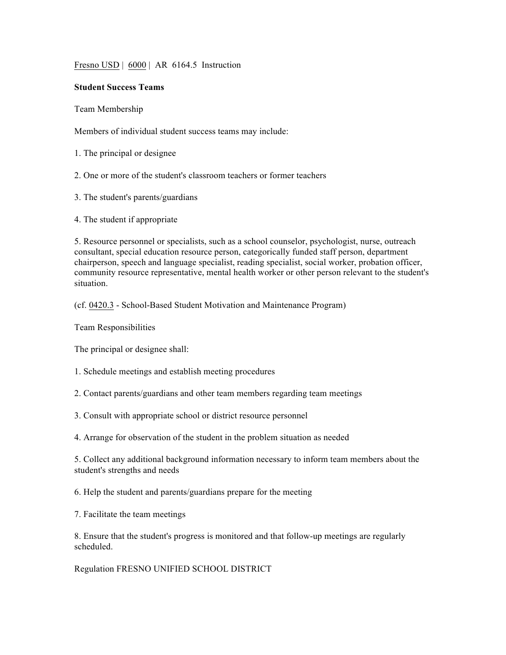Fresno USD | 6000 | AR 6164.5 Instruction

## **Student Success Teams**

Team Membership

Members of individual student success teams may include:

1. The principal or designee

2. One or more of the student's classroom teachers or former teachers

3. The student's parents/guardians

4. The student if appropriate

5. Resource personnel or specialists, such as a school counselor, psychologist, nurse, outreach consultant, special education resource person, categorically funded staff person, department chairperson, speech and language specialist, reading specialist, social worker, probation officer, community resource representative, mental health worker or other person relevant to the student's situation.

(cf. 0420.3 - School-Based Student Motivation and Maintenance Program)

Team Responsibilities

The principal or designee shall:

1. Schedule meetings and establish meeting procedures

2. Contact parents/guardians and other team members regarding team meetings

3. Consult with appropriate school or district resource personnel

4. Arrange for observation of the student in the problem situation as needed

5. Collect any additional background information necessary to inform team members about the student's strengths and needs

6. Help the student and parents/guardians prepare for the meeting

7. Facilitate the team meetings

8. Ensure that the student's progress is monitored and that follow-up meetings are regularly scheduled.

Regulation FRESNO UNIFIED SCHOOL DISTRICT